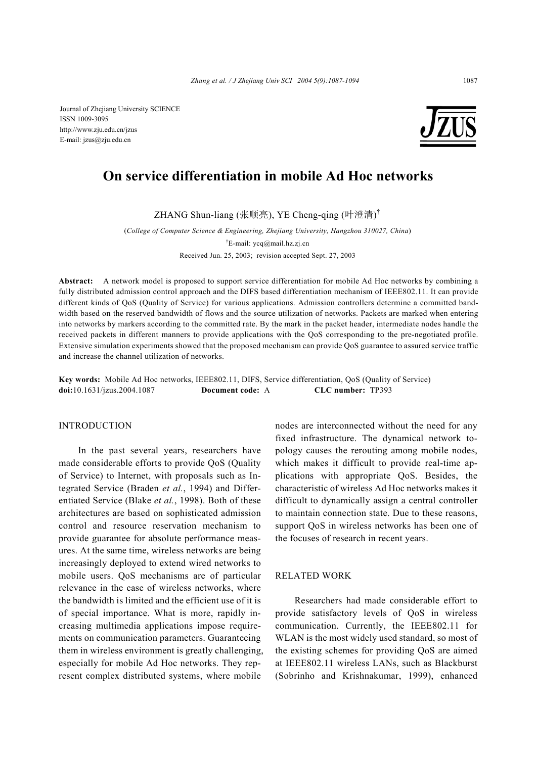Journal of Zhejiang University SCIENCE ISSN 1009-3095 http://www.zju.edu.cn/jzus E-mail: jzus@zju.edu.cn



# **On service differentiation in mobile Ad Hoc networks**

ZHANG Shun-liang (张顺亮), YE Cheng-qing (叶澄清) †

(*College of Computer Science & Engineering, Zhejiang University, Hangzhou 310027, China*) † E-mail: ycq@mail.hz.zj.cn Received Jun. 25, 2003; revision accepted Sept. 27, 2003

**Abstract:** A network model is proposed to support service differentiation for mobile Ad Hoc networks by combining a fully distributed admission control approach and the DIFS based differentiation mechanism of IEEE802.11. It can provide different kinds of QoS (Quality of Service) for various applications. Admission controllers determine a committed bandwidth based on the reserved bandwidth of flows and the source utilization of networks. Packets are marked when entering into networks by markers according to the committed rate. By the mark in the packet header, intermediate nodes handle the received packets in different manners to provide applications with the QoS corresponding to the pre-negotiated profile. Extensive simulation experiments showed that the proposed mechanism can provide QoS guarantee to assured service traffic and increase the channel utilization of networks.

**Key words:** Mobile Ad Hoc networks, IEEE802.11, DIFS, Service differentiation, QoS (Quality of Service) **doi:**10.1631/jzus.2004.1087 **Document code:** A **CLC number:** TP393

## INTRODUCTION

In the past several years, researchers have made considerable efforts to provide QoS (Quality of Service) to Internet, with proposals such as Integrated Service (Braden *et al.*, 1994) and Differentiated Service (Blake *et al.*, 1998). Both of these architectures are based on sophisticated admission control and resource reservation mechanism to provide guarantee for absolute performance measures. At the same time, wireless networks are being increasingly deployed to extend wired networks to mobile users. QoS mechanisms are of particular relevance in the case of wireless networks, where the bandwidth is limited and the efficient use of it is of special importance. What is more, rapidly increasing multimedia applications impose requirements on communication parameters. Guaranteeing them in wireless environment is greatly challenging, especially for mobile Ad Hoc networks. They represent complex distributed systems, where mobile

nodes are interconnected without the need for any fixed infrastructure. The dynamical network topology causes the rerouting among mobile nodes, which makes it difficult to provide real-time applications with appropriate QoS. Besides, the characteristic of wireless Ad Hoc networks makes it difficult to dynamically assign a central controller to maintain connection state. Due to these reasons, support QoS in wireless networks has been one of the focuses of research in recent years.

#### RELATED WORK

Researchers had made considerable effort to provide satisfactory levels of QoS in wireless communication. Currently, the IEEE802.11 for WLAN is the most widely used standard, so most of the existing schemes for providing QoS are aimed at IEEE802.11 wireless LANs, such as Blackburst (Sobrinho and Krishnakumar, 1999), enhanced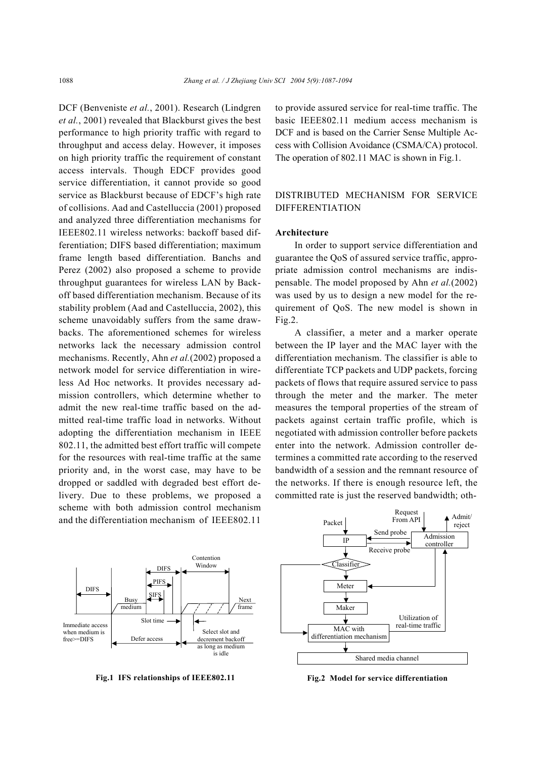DCF (Benveniste *et al.*, 2001). Research (Lindgren *et al.*, 2001) revealed that Blackburst gives the best performance to high priority traffic with regard to throughput and access delay. However, it imposes on high priority traffic the requirement of constant access intervals. Though EDCF provides good service differentiation, it cannot provide so good service as Blackburst because of EDCF's high rate of collisions. Aad and Castelluccia (2001) proposed and analyzed three differentiation mechanisms for IEEE802.11 wireless networks: backoff based differentiation; DIFS based differentiation; maximum frame length based differentiation. Banchs and Perez (2002) also proposed a scheme to provide throughput guarantees for wireless LAN by Backoff based differentiation mechanism. Because of its stability problem (Aad and Castelluccia, 2002), this scheme unavoidably suffers from the same drawbacks. The aforementioned schemes for wireless networks lack the necessary admission control mechanisms. Recently, Ahn *et al.*(2002) proposed a network model for service differentiation in wireless Ad Hoc networks. It provides necessary admission controllers, which determine whether to admit the new real-time traffic based on the admitted real-time traffic load in networks. Without adopting the differentiation mechanism in IEEE 802.11, the admitted best effort traffic will compete for the resources with real-time traffic at the same priority and, in the worst case, may have to be dropped or saddled with degraded best effort delivery. Due to these problems, we proposed a scheme with both admission control mechanism and the differentiation mechanism of IEEE802.11

to provide assured service for real-time traffic. The basic IEEE802.11 medium access mechanism is DCF and is based on the Carrier Sense Multiple Access with Collision Avoidance (CSMA/CA) protocol. The operation of 802.11 MAC is shown in Fig.1.

# DISTRIBUTED MECHANISM FOR SERVICE DIFFERENTIATION

# **Architecture**

In order to support service differentiation and guarantee the QoS of assured service traffic, appropriate admission control mechanisms are indispensable. The model proposed by Ahn *et al.*(2002) was used by us to design a new model for the requirement of QoS. The new model is shown in Fig.2.

A classifier, a meter and a marker operate between the IP layer and the MAC layer with the differentiation mechanism. The classifier is able to differentiate TCP packets and UDP packets, forcing packets of flows that require assured service to pass through the meter and the marker. The meter measures the temporal properties of the stream of packets against certain traffic profile, which is negotiated with admission controller before packets enter into the network. Admission controller determines a committed rate according to the reserved bandwidth of a session and the remnant resource of the networks. If there is enough resource left, the committed rate is just the reserved bandwidth; oth-





**Fig.1 IFS relationships of IEEE802.11 Fig.2 Model for service differentiation**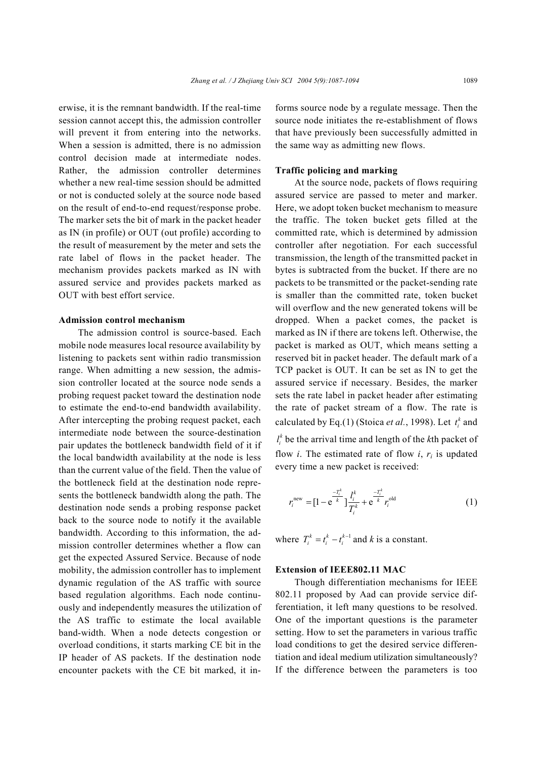erwise, it is the remnant bandwidth. If the real-time session cannot accept this, the admission controller will prevent it from entering into the networks. When a session is admitted, there is no admission control decision made at intermediate nodes. Rather, the admission controller determines whether a new real-time session should be admitted or not is conducted solely at the source node based on the result of end-to-end request/response probe. The marker sets the bit of mark in the packet header as IN (in profile) or OUT (out profile) according to the result of measurement by the meter and sets the rate label of flows in the packet header. The mechanism provides packets marked as IN with assured service and provides packets marked as OUT with best effort service.

## **Admission control mechanism**

The admission control is source-based. Each mobile node measures local resource availability by listening to packets sent within radio transmission range. When admitting a new session, the admission controller located at the source node sends a probing request packet toward the destination node to estimate the end-to-end bandwidth availability. After intercepting the probing request packet, each intermediate node between the source-destination pair updates the bottleneck bandwidth field of it if the local bandwidth availability at the node is less than the current value of the field. Then the value of the bottleneck field at the destination node represents the bottleneck bandwidth along the path. The destination node sends a probing response packet back to the source node to notify it the available bandwidth. According to this information, the admission controller determines whether a flow can get the expected Assured Service. Because of node mobility, the admission controller has to implement dynamic regulation of the AS traffic with source based regulation algorithms. Each node continuously and independently measures the utilization of the AS traffic to estimate the local available band-width. When a node detects congestion or overload conditions, it starts marking CE bit in the IP header of AS packets. If the destination node encounter packets with the CE bit marked, it informs source node by a regulate message. Then the source node initiates the re-establishment of flows that have previously been successfully admitted in the same way as admitting new flows.

#### **Traffic policing and marking**

At the source node, packets of flows requiring assured service are passed to meter and marker. Here, we adopt token bucket mechanism to measure the traffic. The token bucket gets filled at the committed rate, which is determined by admission controller after negotiation. For each successful transmission, the length of the transmitted packet in bytes is subtracted from the bucket. If there are no packets to be transmitted or the packet-sending rate is smaller than the committed rate, token bucket will overflow and the new generated tokens will be dropped. When a packet comes, the packet is marked as IN if there are tokens left. Otherwise, the packet is marked as OUT, which means setting a reserved bit in packet header. The default mark of a TCP packet is OUT. It can be set as IN to get the assured service if necessary. Besides, the marker sets the rate label in packet header after estimating the rate of packet stream of a flow. The rate is calculated by Eq.(1) (Stoica *et al.*, 1998). Let  $t_i^k$  and  $l_i^k$  be the arrival time and length of the *k*th packet of flow *i*. The estimated rate of flow *i*,  $r_i$  is updated every time a new packet is received:

$$
r_i^{\text{new}} = [1 - e^{\frac{-T_i^k}{k}}] \frac{I_i^k}{T_i^k} + e^{\frac{-T_i^k}{k}} r_i^{\text{old}}
$$
(1)

where  $T_i^k = t_i^k - t_i^{k-1}$  and *k* is a constant.

## **Extension of IEEE802.11 MAC**

Though differentiation mechanisms for IEEE 802.11 proposed by Aad can provide service differentiation, it left many questions to be resolved. One of the important questions is the parameter setting. How to set the parameters in various traffic load conditions to get the desired service differentiation and ideal medium utilization simultaneously? If the difference between the parameters is too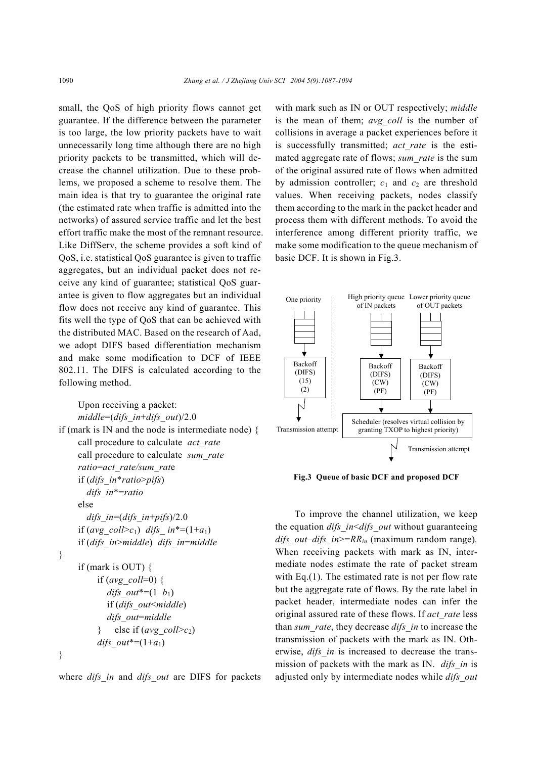small, the QoS of high priority flows cannot get guarantee. If the difference between the parameter is too large, the low priority packets have to wait unnecessarily long time although there are no high priority packets to be transmitted, which will decrease the channel utilization. Due to these problems, we proposed a scheme to resolve them. The main idea is that try to guarantee the original rate (the estimated rate when traffic is admitted into the networks) of assured service traffic and let the best effort traffic make the most of the remnant resource. Like DiffServ, the scheme provides a soft kind of QoS, i.e. statistical QoS guarantee is given to traffic aggregates, but an individual packet does not receive any kind of guarantee; statistical QoS guarantee is given to flow aggregates but an individual flow does not receive any kind of guarantee. This fits well the type of QoS that can be achieved with the distributed MAC. Based on the research of Aad, we adopt DIFS based differentiation mechanism and make some modification to DCF of IEEE 802.11. The DIFS is calculated according to the following method.

```
Upon receiving a packet: 
     middle=(difs_in+difs_out)/2.0 
if (mark is IN and the node is intermediate node) { 
     call procedure to calculate act_rate 
     call procedure to calculate sum_rate
     ratio=act_rate/sum_rate 
     if (difs_in*ratio>pifs) 
        difs_in*=ratio
     else 
        difs_in=(difs_in+pifs)/2.0 
     if (avg \, coll > c_1) difs in^*=(1+a_1)if (difs_in>middle) difs_in=middle
} 
     if (mark is OUT) { 
          if (avg_coll=0) { 
            difs out^*=(1-b_1)if (difs_out<middle) 
            difs_out=middle 
          } else if (\text{avg } \text{coll} > c_2)difs out^*=(1+a_1)}
```
where *difs\_in* and *difs\_out* are DIFS for packets

with mark such as IN or OUT respectively; *middle* is the mean of them; *avg coll* is the number of collisions in average a packet experiences before it is successfully transmitted; *act\_rate* is the estimated aggregate rate of flows; *sum\_rate* is the sum of the original assured rate of flows when admitted by admission controller;  $c_1$  and  $c_2$  are threshold values. When receiving packets, nodes classify them according to the mark in the packet header and process them with different methods. To avoid the interference among different priority traffic, we make some modification to the queue mechanism of basic DCF. It is shown in Fig.3.



**Fig.3 Queue of basic DCF and proposed DCF**

To improve the channel utilization, we keep the equation *difs\_in*<*difs\_out* without guaranteeing *difs\_out*–*difs\_in*>=*RRin* (maximum random range)*.* When receiving packets with mark as IN, intermediate nodes estimate the rate of packet stream with Eq.(1). The estimated rate is not per flow rate but the aggregate rate of flows. By the rate label in packet header, intermediate nodes can infer the original assured rate of these flows. If *act\_rate* less than *sum\_rate*, they decrease *difs\_in* to increase the transmission of packets with the mark as IN. Otherwise, *difs* in is increased to decrease the transmission of packets with the mark as IN. *difs\_in* is adjusted only by intermediate nodes while *difs\_out*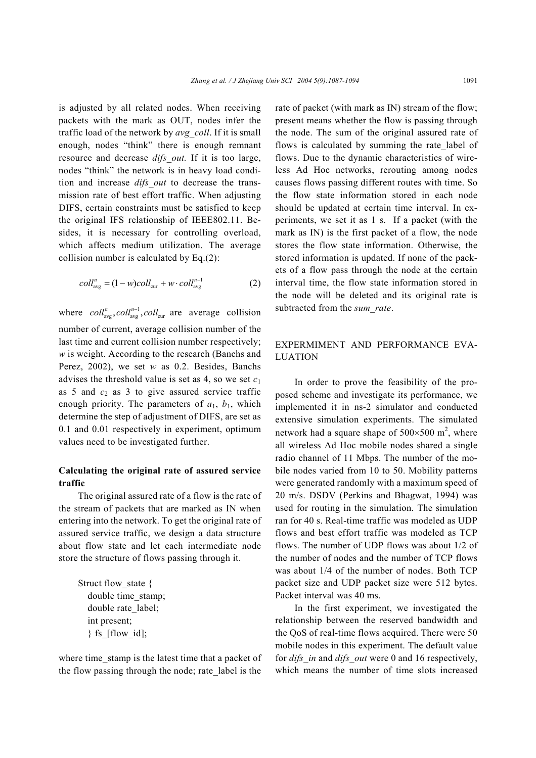is adjusted by all related nodes. When receiving packets with the mark as OUT, nodes infer the traffic load of the network by *avg\_coll*. If it is small enough, nodes "think" there is enough remnant resource and decrease *difs\_out.* If it is too large, nodes "think" the network is in heavy load condition and increase *difs\_out* to decrease the transmission rate of best effort traffic. When adjusting DIFS, certain constraints must be satisfied to keep the original IFS relationship of IEEE802.11. Besides, it is necessary for controlling overload, which affects medium utilization. The average collision number is calculated by Eq.(2):

$$
coll_{\text{avg}}^{n} = (1 - w)coll_{\text{cur}} + w \cdot coll_{\text{avg}}^{n-1}
$$
 (2)

where  $coll_{avg}^n, coll_{avg}^{n-1}, coll_{cur}$  are average collision number of current, average collision number of the last time and current collision number respectively; *w* is weight. According to the research (Banchs and Perez, 2002), we set *w* as 0.2. Besides, Banchs advises the threshold value is set as 4, so we set  $c_1$ as  $5$  and  $c_2$  as  $3$  to give assured service traffic enough priority. The parameters of  $a_1$ ,  $b_1$ , which determine the step of adjustment of DIFS, are set as 0.1 and 0.01 respectively in experiment, optimum values need to be investigated further.

# **Calculating the original rate of assured service traffic**

The original assured rate of a flow is the rate of the stream of packets that are marked as IN when entering into the network. To get the original rate of assured service traffic, we design a data structure about flow state and let each intermediate node store the structure of flows passing through it.

Struct flow state { double time\_stamp; double rate\_label; int present;  $\}$  fs [flow id];

where time\_stamp is the latest time that a packet of the flow passing through the node; rate\_label is the

rate of packet (with mark as IN) stream of the flow; present means whether the flow is passing through the node. The sum of the original assured rate of flows is calculated by summing the rate label of flows. Due to the dynamic characteristics of wireless Ad Hoc networks, rerouting among nodes causes flows passing different routes with time. So the flow state information stored in each node should be updated at certain time interval. In experiments, we set it as 1 s. If a packet (with the mark as IN) is the first packet of a flow, the node stores the flow state information. Otherwise, the stored information is updated. If none of the packets of a flow pass through the node at the certain interval time, the flow state information stored in the node will be deleted and its original rate is subtracted from the *sum\_rate*.

# EXPERMIMENT AND PERFORMANCE EVA-LUATION

In order to prove the feasibility of the proposed scheme and investigate its performance, we implemented it in ns-2 simulator and conducted extensive simulation experiments. The simulated network had a square shape of  $500 \times 500$  m<sup>2</sup>, where all wireless Ad Hoc mobile nodes shared a single radio channel of 11 Mbps. The number of the mobile nodes varied from 10 to 50. Mobility patterns were generated randomly with a maximum speed of 20 m/s. DSDV (Perkins and Bhagwat, 1994) was used for routing in the simulation. The simulation ran for 40 s. Real-time traffic was modeled as UDP flows and best effort traffic was modeled as TCP flows. The number of UDP flows was about 1/2 of the number of nodes and the number of TCP flows was about 1/4 of the number of nodes. Both TCP packet size and UDP packet size were 512 bytes. Packet interval was 40 ms.

In the first experiment, we investigated the relationship between the reserved bandwidth and the QoS of real-time flows acquired. There were 50 mobile nodes in this experiment. The default value for *difs\_in* and *difs\_out* were 0 and 16 respectively, which means the number of time slots increased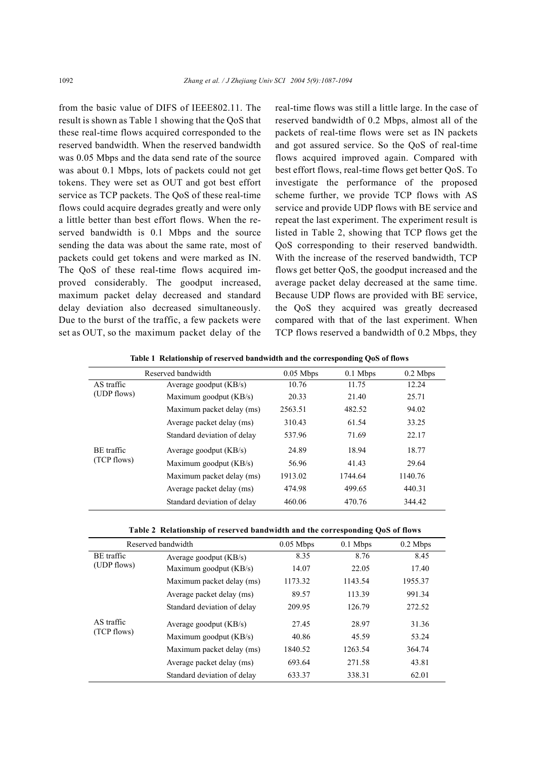from the basic value of DIFS of IEEE802.11. The result is shown as Table 1 showing that the QoS that these real-time flows acquired corresponded to the reserved bandwidth. When the reserved bandwidth was 0.05 Mbps and the data send rate of the source was about 0.1 Mbps, lots of packets could not get tokens. They were set as OUT and got best effort service as TCP packets. The QoS of these real-time flows could acquire degrades greatly and were only a little better than best effort flows. When the reserved bandwidth is 0.1 Mbps and the source sending the data was about the same rate, most of packets could get tokens and were marked as IN. The QoS of these real-time flows acquired improved considerably. The goodput increased, maximum packet delay decreased and standard delay deviation also decreased simultaneously. Due to the burst of the traffic, a few packets were set as OUT, so the maximum packet delay of the

real-time flows was still a little large. In the case of reserved bandwidth of 0.2 Mbps, almost all of the packets of real-time flows were set as IN packets and got assured service. So the QoS of real-time flows acquired improved again. Compared with best effort flows, real-time flows get better QoS. To investigate the performance of the proposed scheme further, we provide TCP flows with AS service and provide UDP flows with BE service and repeat the last experiment. The experiment result is listed in Table 2, showing that TCP flows get the QoS corresponding to their reserved bandwidth. With the increase of the reserved bandwidth, TCP flows get better QoS, the goodput increased and the average packet delay decreased at the same time. Because UDP flows are provided with BE service, the QoS they acquired was greatly decreased compared with that of the last experiment. When TCP flows reserved a bandwidth of 0.2 Mbps, they

**Table 1 Relationship of reserved bandwidth and the corresponding QoS of flows**

|                           | Reserved bandwidth          | $0.05$ Mbps | $0.1$ Mbps | $0.2$ Mbps |
|---------------------------|-----------------------------|-------------|------------|------------|
| AS traffic<br>(UDP flows) | Average goodput $(KB/s)$    | 10.76       | 11.75      | 12.24      |
|                           | Maximum goodput (KB/s)      | 20.33       | 21.40      | 25.71      |
|                           | Maximum packet delay (ms)   | 2563.51     | 482.52     | 94.02      |
|                           | Average packet delay (ms)   | 310.43      | 61.54      | 33.25      |
|                           | Standard deviation of delay | 537.96      | 71.69      | 22.17      |
| BE traffic<br>(TCP flows) | Average goodput $(KB/s)$    | 24.89       | 18.94      | 18.77      |
|                           | Maximum goodput (KB/s)      | 56.96       | 41.43      | 29.64      |
|                           | Maximum packet delay (ms)   | 1913.02     | 1744.64    | 1140.76    |
|                           | Average packet delay (ms)   | 474.98      | 499.65     | 440.31     |
|                           | Standard deviation of delay | 460.06      | 470.76     | 344.42     |

**Table 2 Relationship of reserved bandwidth and the corresponding QoS of flows**

| Reserved bandwidth |                             | $0.05$ Mbps | $0.1$ Mbps | $0.2$ Mbps |
|--------------------|-----------------------------|-------------|------------|------------|
| BE traffic         | Average goodput $(KB/s)$    | 8.35        | 8.76       | 8.45       |
| (UDP flows)        | Maximum goodput (KB/s)      | 14.07       | 22.05      | 17.40      |
|                    | Maximum packet delay (ms)   | 1173.32     | 1143.54    | 1955.37    |
|                    | Average packet delay (ms)   | 89.57       | 113.39     | 991.34     |
|                    | Standard deviation of delay | 209.95      | 126.79     | 272.52     |
| AS traffic         | Average goodput $(KB/s)$    | 27.45       | 28.97      | 31.36      |
| (TCP flows)        | Maximum goodput (KB/s)      | 40.86       | 45.59      | 53.24      |
|                    | Maximum packet delay (ms)   | 1840.52     | 1263.54    | 364.74     |
|                    | Average packet delay (ms)   | 693.64      | 271.58     | 43.81      |
|                    | Standard deviation of delay | 633.37      | 338.31     | 62.01      |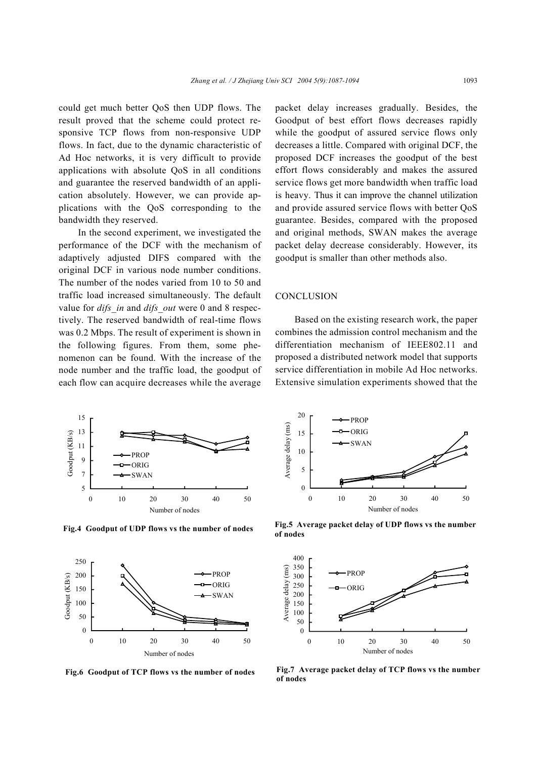could get much better QoS then UDP flows. The result proved that the scheme could protect responsive TCP flows from non-responsive UDP flows. In fact, due to the dynamic characteristic of Ad Hoc networks, it is very difficult to provide applications with absolute QoS in all conditions and guarantee the reserved bandwidth of an application absolutely. However, we can provide applications with the QoS corresponding to the bandwidth they reserved.

In the second experiment, we investigated the performance of the DCF with the mechanism of adaptively adjusted DIFS compared with the original DCF in various node number conditions. The number of the nodes varied from 10 to 50 and traffic load increased simultaneously. The default value for *difs\_in* and *difs\_out* were 0 and 8 respectively. The reserved bandwidth of real-time flows was 0.2 Mbps. The result of experiment is shown in the following figures. From them, some phenomenon can be found. With the increase of the node number and the traffic load, the goodput of each flow can acquire decreases while the average

packet delay increases gradually. Besides, the Goodput of best effort flows decreases rapidly while the goodput of assured service flows only decreases a little. Compared with original DCF, the proposed DCF increases the goodput of the best effort flows considerably and makes the assured service flows get more bandwidth when traffic load is heavy. Thus it can improve the channel utilization and provide assured service flows with better QoS guarantee. Besides, compared with the proposed and original methods, SWAN makes the average packet delay decrease considerably. However, its goodput is smaller than other methods also.

#### **CONCLUSION**

Based on the existing research work, the paper combines the admission control mechanism and the differentiation mechanism of IEEE802.11 and proposed a distributed network model that supports service differentiation in mobile Ad Hoc networks. Extensive simulation experiments showed that the



**Fig.4 Goodput of UDP flows vs the number of nodes**



**Fig.6 Goodput of TCP flows vs the number of nodes** 



**Fig.5 Average packet delay of UDP flows vs the number of nodes**



**Fig.7 Average packet delay of TCP flows vs the number of nodes**